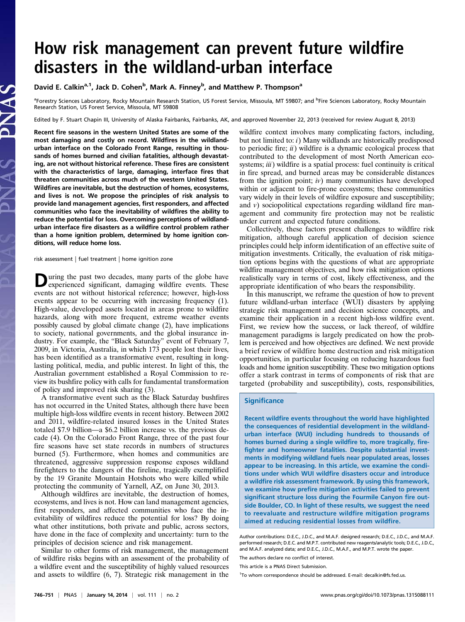# How risk management can prevent future wildfire disasters in the wildland-urban interface

## David E. Calkin<sup>a, 1</sup>, Jack D. Cohen<sup>b</sup>, Mark A. Finney<sup>b</sup>, and Matthew P. Thompson<sup>a</sup>

<sup>a</sup>Forestry Sciences Laboratory, Rocky Mountain Research Station, US Forest Service, Missoula, MT 59807; and <sup>b</sup>Fire Sciences Laboratory, Rocky Mountain Research Station, US Forest Service, Missoula, MT 59808

Edited by F. Stuart Chapin III, University of Alaska Fairbanks, Fairbanks, AK, and approved November 22, 2013 (received for review August 8, 2013)

Recent fire seasons in the western United States are some of the most damaging and costly on record. Wildfires in the wildlandurban interface on the Colorado Front Range, resulting in thousands of homes burned and civilian fatalities, although devastating, are not without historical reference. These fires are consistent with the characteristics of large, damaging, interface fires that threaten communities across much of the western United States. Wildfires are inevitable, but the destruction of homes, ecosystems, and lives is not. We propose the principles of risk analysis to provide land management agencies, first responders, and affected communities who face the inevitability of wildfires the ability to reduce the potential for loss. Overcoming perceptions of wildlandurban interface fire disasters as a wildfire control problem rather than a home ignition problem, determined by home ignition conditions, will reduce home loss.

risk assessment | fuel treatment | home ignition zone

During the past two decades, many parts of the globe have experienced significant, damaging wildfire events. These events are not without historical reference; however, high-loss events appear to be occurring with increasing frequency (1). High-value, developed assets located in areas prone to wildfire hazards, along with more frequent, extreme weather events possibly caused by global climate change (2), have implications to society, national governments, and the global insurance industry. For example, the "Black Saturday" event of February 7, 2009, in Victoria, Australia, in which 173 people lost their lives, has been identified as a transformative event, resulting in longlasting political, media, and public interest. In light of this, the Australian government established a Royal Commission to review its bushfire policy with calls for fundamental transformation of policy and improved risk sharing (3).

A transformative event such as the Black Saturday bushfires has not occurred in the United States, although there have been multiple high-loss wildfire events in recent history. Between 2002 and 2011, wildfire-related insured losses in the United States totaled \$7.9 billion—a \$6.2 billion increase vs. the previous decade (4). On the Colorado Front Range, three of the past four fire seasons have set state records in numbers of structures burned (5). Furthermore, when homes and communities are threatened, aggressive suppression response exposes wildland firefighters to the dangers of the fireline, tragically exemplified by the 19 Granite Mountain Hotshots who were killed while protecting the community of Yarnell, AZ, on June 30, 2013.

Although wildfires are inevitable, the destruction of homes, ecosystems, and lives is not. How can land management agencies, first responders, and affected communities who face the inevitability of wildfires reduce the potential for loss? By doing what other institutions, both private and public, across sectors, have done in the face of complexity and uncertainty: turn to the principles of decision science and risk management.

Similar to other forms of risk management, the management of wildfire risks begins with an assessment of the probability of a wildfire event and the susceptibility of highly valued resources and assets to wildfire (6, 7). Strategic risk management in the

wildfire context involves many complicating factors, including, but not limited to: i) Many wildlands are historically predisposed to periodic fire;  $\ddot{u}$ ) wildfire is a dynamic ecological process that contributed to the development of most North American ecosystems; *iii*) wildfire is a spatial process: fuel continuity is critical in fire spread, and burned areas may be considerable distances from the ignition point;  $iv$ ) many communities have developed within or adjacent to fire-prone ecosystems; these communities vary widely in their levels of wildfire exposure and susceptibility; and  $\nu$ ) sociopolitical expectations regarding wildland fire management and community fire protection may not be realistic under current and expected future conditions.

Collectively, these factors present challenges to wildfire risk mitigation, although careful application of decision science principles could help inform identification of an effective suite of mitigation investments. Critically, the evaluation of risk mitigation options begins with the questions of what are appropriate wildfire management objectives, and how risk mitigation options realistically vary in terms of cost, likely effectiveness, and the appropriate identification of who bears the responsibility.

In this manuscript, we reframe the question of how to prevent future wildland-urban interface (WUI) disasters by applying strategic risk management and decision science concepts, and examine their application in a recent high-loss wildfire event. First, we review how the success, or lack thereof, of wildfire management paradigms is largely predicated on how the problem is perceived and how objectives are defined. We next provide a brief review of wildfire home destruction and risk mitigation opportunities, in particular focusing on reducing hazardous fuel loads and home ignition susceptibility. These two mitigation options offer a stark contrast in terms of components of risk that are targeted (probability and susceptibility), costs, responsibilities,

## **Significance**

Recent wildfire events throughout the world have highlighted the consequences of residential development in the wildlandurban interface (WUI) including hundreds to thousands of homes burned during a single wildfire to, more tragically, firefighter and homeowner fatalities. Despite substantial investments in modifying wildland fuels near populated areas, losses appear to be increasing. In this article, we examine the conditions under which WUI wildfire disasters occur and introduce a wildfire risk assessment framework. By using this framework, we examine how prefire mitigation activities failed to prevent significant structure loss during the Fourmile Canyon fire outside Boulder, CO. In light of these results, we suggest the need to reevaluate and restructure wildfire mitigation programs aimed at reducing residential losses from wildfire.

Author contributions: D.E.C., J.D.C., and M.A.F. designed research; D.E.C., J.D.C., and M.A.F. performed research; D.E.C. and M.P.T. contributed new reagents/analytic tools; D.E.C., J.D.C., and M.A.F. analyzed data; and D.E.C., J.D.C., M.A.F., and M.P.T. wrote the paper.

The authors declare no conflict of interest.

This article is a PNAS Direct Submission.

<sup>&</sup>lt;sup>1</sup>To whom correspondence should be addressed. E-mail: [decalkin@fs.fed.us](mailto:decalkin@fs.fed.us).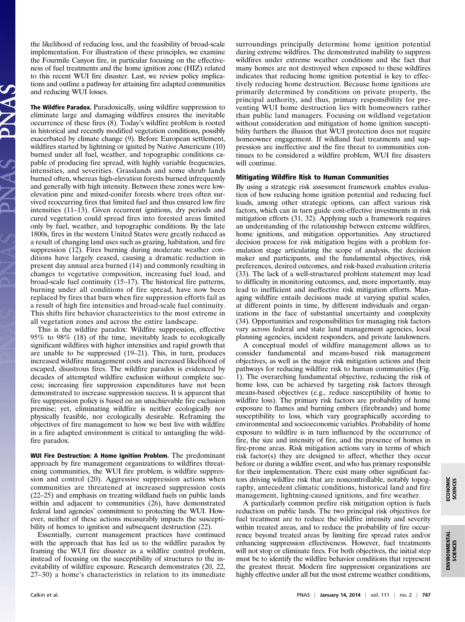the likelihood of reducing loss, and the feasibility of broad-scale implementation. For illustration of these principles, we examine the Fourmile Canyon fire, in particular focusing on the effectiveness of fuel treatments and the home ignition zone (HIZ) related to this recent WUI fire disaster. Last, we review policy implications and outline a pathway for attaining fire adapted communities and reducing WUI losses.

The Wildfire Paradox. Paradoxically, using wildfire suppression to eliminate large and damaging wildfires ensures the inevitable occurrence of these fires (8). Today's wildfire problem is rooted in historical and recently modified vegetation conditions, possibly exacerbated by climate change (9). Before European settlement, wildfires started by lightning or ignited by Native Americans (10) burned under all fuel, weather, and topographic conditions capable of producing fire spread, with highly variable frequencies, intensities, and severities. Grasslands and some shrub lands burned often, whereas high-elevation forests burned infrequently and generally with high intensity. Between these zones were lowelevation pine and mixed-conifer forests where trees often survived reoccurring fires that limited fuel and thus ensured low fire intensities (11–13). Given recurrent ignitions, dry periods and cured vegetation could spread fires into forested areas limited only by fuel, weather, and topographic conditions. By the late 1800s, fires in the western United States were greatly reduced as a result of changing land uses such as grazing, habitation, and fire suppression (12). Fires burning during moderate weather conditions have largely ceased, causing a dramatic reduction in present day annual area burned (14) and commonly resulting in changes to vegetative composition, increasing fuel load, and broad-scale fuel continuity (15–17). The historical fire patterns, burning under all conditions of fire spread, have now been replaced by fires that burn when fire suppression efforts fail as a result of high fire intensities and broad-scale fuel continuity. This shifts fire behavior characteristics to the most extreme in all vegetation zones and across the entire landscape.

This is the wildfire paradox: Wildfire suppression, effective 95% to 98% (18) of the time, inevitably leads to ecologically significant wildfires with higher intensities and rapid growth that are unable to be suppressed (19–21). This, in turn, produces increased wildfire management costs and increased likelihood of escaped, disastrous fires. The wildfire paradox is evidenced by decades of attempted wildfire exclusion without complete success; increasing fire suppression expenditures have not been demonstrated to increase suppression success. It is apparent that fire suppression policy is based on an unachievable fire exclusion premise; yet, eliminating wildfire is neither ecologically nor physically feasible, nor ecologically desirable. Reframing the objectives of fire management to how we best live with wildfire in a fire adapted environment is critical to untangling the wildfire paradox.

WUI Fire Destruction: A Home Ignition Problem. The predominant approach by fire management organizations to wildfires threatening communities, the WUI fire problem, is wildfire suppression and control (20). Aggressive suppression actions when communities are threatened at increased suppression costs (22–25) and emphasis on treating wildland fuels on public lands within and adjacent to communities (26), have demonstrated federal land agencies' commitment to protecting the WUI. However, neither of these actions measurably impacts the susceptibility of homes to ignition and subsequent destruction (22).

Essentially, current management practices have continued with the approach that has led us to the wildfire paradox by framing the WUI fire disaster as a wildfire control problem, instead of focusing on the susceptibility of structures to the inevitability of wildfire exposure. Research demonstrates (20, 22, 27–30) a home's characteristics in relation to its immediate

surroundings principally determine home ignition potential during extreme wildfires. The demonstrated inability to suppress wildfires under extreme weather conditions and the fact that many homes are not destroyed when exposed to these wildfires indicates that reducing home ignition potential is key to effectively reducing home destruction. Because home ignitions are primarily determined by conditions on private property, the principal authority, and thus, primary responsibility for preventing WUI home destruction lies with homeowners rather than public land managers. Focusing on wildland vegetation without consideration and mitigation of home ignition susceptibility furthers the illusion that WUI protection does not require homeowner engagement. If wildland fuel treatments and suppression are ineffective and the fire threat to communities continues to be considered a wildfire problem, WUI fire disasters will continue.

#### Mitigating Wildfire Risk to Human Communities

By using a strategic risk assessment framework enables evaluation of how reducing home ignition potential and reducing fuel loads, among other strategic options, can affect various risk factors, which can in turn guide cost-effective investments in risk mitigation efforts (31, 32). Applying such a framework requires an understanding of the relationship between extreme wildfires, home ignitions, and mitigation opportunities. Any structured decision process for risk mitigation begins with a problem formulation stage articulating the scope of analysis, the decision maker and participants, and the fundamental objectives, risk preferences, desired outcomes, and risk-based evaluation criteria (33). The lack of a well-structured problem statement may lead to difficulty in monitoring outcomes, and, more importantly, may lead to inefficient and ineffective risk mitigation efforts. Managing wildfire entails decisions made at varying spatial scales, at different points in time, by different individuals and organizations in the face of substantial uncertainty and complexity (34). Opportunities and responsibilities for managing risk factors vary across federal and state land management agencies, local planning agencies, incident responders, and private landowners.

A conceptual model of wildfire management allows us to consider fundamental and means-based risk management objectives, as well as the major risk mitigation actions and their pathways for reducing wildfire risk to human communities (Fig. 1). The overarching fundamental objective, reducing the risk of home loss, can be achieved by targeting risk factors through means-based objectives (e.g., reduce susceptibility of home to wildfire loss). The primary risk factors are probability of home exposure to flames and burning embers (firebrands) and home susceptibility to loss, which vary geographically according to environmental and socioeconomic variables. Probability of home exposure to wildfire is in turn influenced by the occurrence of fire, the size and intensity of fire, and the presence of homes in fire-prone areas. Risk mitigation actions vary in terms of which risk factor(s) they are designed to affect, whether they occur before or during a wildfire event, and who has primary responsible for their implementation. There exist many other significant factors driving wildfire risk that are noncontrollable, notably topography, antecedent climatic conditions, historical land and fire management, lightning-caused ignitions, and fire weather.

A particularly common prefire risk mitigation option is fuels reduction on public lands. The two principal risk objectives for fuel treatment are to reduce the wildfire intensity and severity within treated areas, and to reduce the probability of fire occurrence beyond treated areas by limiting fire spread rates and/or enhancing suppression effectiveness. However, fuel treatments will not stop or eliminate fires. For both objectives, the initial step must be to identify the wildfire behavior conditions that represent the greatest threat. Modern fire suppression organizations are highly effective under all but the most extreme weather conditions,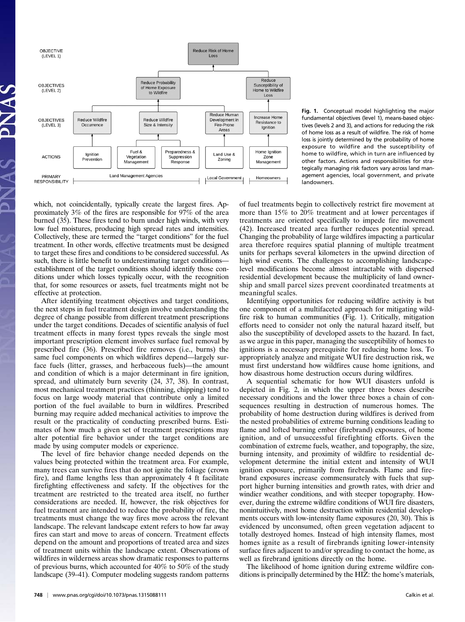

Fig. 1. Conceptual model highlighting the major fundamental objectives (level 1), means-based objectives (levels 2 and 3), and actions for reducing the risk of home loss as a result of wildfire. The risk of home loss is jointly determined by the probability of home exposure to wildfire and the susceptibility of home to wildfire, which in turn are influenced by other factors. Actions and responsibilities for strategically managing risk factors vary across land management agencies, local government, and private landowners.

which, not coincidentally, typically create the largest fires. Approximately 3% of the fires are responsible for 97% of the area burned (35). These fires tend to burn under high winds, with very low fuel moistures, producing high spread rates and intensities. Collectively, these are termed the "target conditions" for the fuel treatment. In other words, effective treatments must be designed to target these fires and conditions to be considered successful. As such, there is little benefit to underestimating target conditions establishment of the target conditions should identify those conditions under which losses typically occur, with the recognition that, for some resources or assets, fuel treatments might not be effective at protection.

After identifying treatment objectives and target conditions, the next steps in fuel treatment design involve understanding the degree of change possible from different treatment prescriptions under the target conditions. Decades of scientific analysis of fuel treatment effects in many forest types reveals the single most important prescription element involves surface fuel removal by prescribed fire (36). Prescribed fire removes (i.e., burns) the same fuel components on which wildfires depend—largely surface fuels (litter, grasses, and herbaceous fuels)—the amount and condition of which is a major determinant in fire ignition, spread, and ultimately burn severity (24, 37, 38). In contrast, most mechanical treatment practices (thinning, chipping) tend to focus on large woody material that contribute only a limited portion of the fuel available to burn in wildfires. Prescribed burning may require added mechanical activities to improve the result or the practicality of conducting prescribed burns. Estimates of how much a given set of treatment prescriptions may alter potential fire behavior under the target conditions are made by using computer models or experience.

The level of fire behavior change needed depends on the values being protected within the treatment area. For example, many trees can survive fires that do not ignite the foliage (crown fire), and flame lengths less than approximately 4 ft facilitate firefighting effectiveness and safety. If the objectives for the treatment are restricted to the treated area itself, no further considerations are needed. If, however, the risk objectives for fuel treatment are intended to reduce the probability of fire, the treatments must change the way fires move across the relevant landscape. The relevant landscape extent refers to how far away fires can start and move to areas of concern. Treatment effects depend on the amount and proportions of treated area and sizes of treatment units within the landscape extent. Observations of wildfires in wilderness areas show dramatic responses to patterns of previous burns, which accounted for 40% to 50% of the study landscape (39–41). Computer modeling suggests random patterns

of fuel treatments begin to collectively restrict fire movement at more than 15% to 20% treatment and at lower percentages if treatments are oriented specifically to impede fire movement (42). Increased treated area further reduces potential spread. Changing the probability of large wildfires impacting a particular area therefore requires spatial planning of multiple treatment units for perhaps several kilometers in the upwind direction of high wind events. The challenges to accomplishing landscapelevel modifications become almost intractable with dispersed residential development because the multiplicity of land ownership and small parcel sizes prevent coordinated treatments at meaningful scales.

Identifying opportunities for reducing wildfire activity is but one component of a multifaceted approach for mitigating wildfire risk to human communities (Fig. 1). Critically, mitigation efforts need to consider not only the natural hazard itself, but also the susceptibility of developed assets to the hazard. In fact, as we argue in this paper, managing the susceptibility of homes to ignitions is a necessary prerequisite for reducing home loss. To appropriately analyze and mitigate WUI fire destruction risk, we must first understand how wildfires cause home ignitions, and how disastrous home destruction occurs during wildfires.

A sequential schematic for how WUI disasters unfold is depicted in Fig. 2, in which the upper three boxes describe necessary conditions and the lower three boxes a chain of consequences resulting in destruction of numerous homes. The probability of home destruction during wildfires is derived from the nested probabilities of extreme burning conditions leading to flame and lofted burning ember (firebrand) exposures, of home ignition, and of unsuccessful firefighting efforts. Given the combination of extreme fuels, weather, and topography, the size, burning intensity, and proximity of wildfire to residential development determine the initial extent and intensity of WUI ignition exposure, primarily from firebrands. Flame and firebrand exposures increase commensurately with fuels that support higher burning intensities and growth rates, with drier and windier weather conditions, and with steeper topography. However, during the extreme wildfire conditions of WUI fire disasters, nonintuitively, most home destruction within residential developments occurs with low-intensity flame exposures (20, 30). This is evidenced by unconsumed, often green vegetation adjacent to totally destroyed homes. Instead of high intensity flames, most homes ignite as a result of firebrands igniting lower-intensity surface fires adjacent to and/or spreading to contact the home, as well as firebrand ignitions directly on the home.

The likelihood of home ignition during extreme wildfire conditions is principally determined by the HIZ: the home's materials,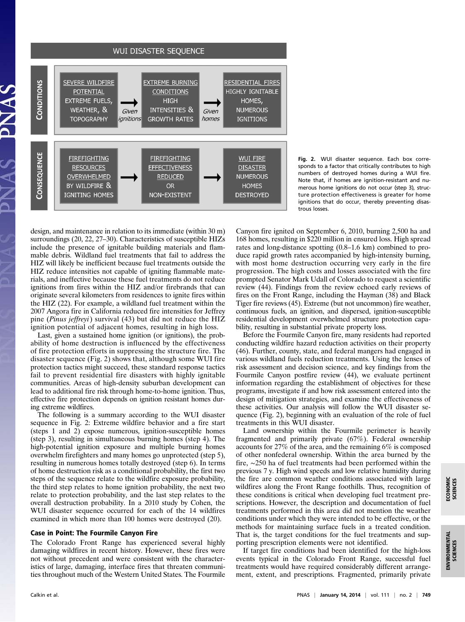



design, and maintenance in relation to its immediate (within 30 m) surroundings (20, 22, 27–30). Characteristics of susceptible HIZs include the presence of ignitable building materials and flammable debris. Wildland fuel treatments that fail to address the HIZ will likely be inefficient because fuel treatments outside the HIZ reduce intensities not capable of igniting flammable materials, and ineffective because these fuel treatments do not reduce ignitions from fires within the HIZ and/or firebrands that can originate several kilometers from residences to ignite fires within the HIZ (22). For example, a wildland fuel treatment within the 2007 Angora fire in California reduced fire intensities for Jeffrey pine (Pinus jeffreyi) survival (43) but did not reduce the HIZ ignition potential of adjacent homes, resulting in high loss.

Last, given a sustained home ignition (or ignitions), the probability of home destruction is influenced by the effectiveness of fire protection efforts in suppressing the structure fire. The disaster sequence (Fig. 2) shows that, although some WUI fire protection tactics might succeed, these standard response tactics fail to prevent residential fire disasters with highly ignitable communities. Areas of high-density suburban development can lead to additional fire risk through home-to-home ignition. Thus, effective fire protection depends on ignition resistant homes during extreme wildfires.

The following is a summary according to the WUI disaster sequence in Fig. 2: Extreme wildfire behavior and a fire start (steps 1 and 2) expose numerous, ignition-susceptible homes (step 3), resulting in simultaneous burning homes (step 4). The high-potential ignition exposure and multiple burning homes overwhelm firefighters and many homes go unprotected (step 5), resulting in numerous homes totally destroyed (step 6). In terms of home destruction risk as a conditional probability, the first two steps of the sequence relate to the wildfire exposure probability, the third step relates to home ignition probability, the next two relate to protection probability, and the last step relates to the overall destruction probability. In a 2010 study by Cohen, the WUI disaster sequence occurred for each of the 14 wildfires examined in which more than 100 homes were destroyed (20).

#### Case in Point: The Fourmile Canyon Fire

The Colorado Front Range has experienced several highly damaging wildfires in recent history. However, these fires were not without precedent and were consistent with the characteristics of large, damaging, interface fires that threaten communities throughout much of the Western United States. The Fourmile Canyon fire ignited on September 6, 2010, burning 2,500 ha and 168 homes, resulting in \$220 million in ensured loss. High spread rates and long-distance spotting (0.8–1.6 km) combined to produce rapid growth rates accompanied by high-intensity burning, with most home destruction occurring very early in the fire progression. The high costs and losses associated with the fire prompted Senator Mark Udall of Colorado to request a scientific review (44). Findings from the review echoed early reviews of fires on the Front Range, including the Hayman (38) and Black Tiger fire reviews (45). Extreme (but not uncommon) fire weather, continuous fuels, an ignition, and dispersed, ignition-susceptible residential development overwhelmed structure protection capability, resulting in substantial private property loss.

Before the Fourmile Canyon fire, many residents had reported conducting wildfire hazard reduction activities on their property (46). Further, county, state, and federal mangers had engaged in various wildland fuels reduction treatments. Using the lenses of risk assessment and decision science, and key findings from the Fourmile Canyon postfire review (44), we evaluate pertinent information regarding the establishment of objectives for these programs, investigate if and how risk assessment entered into the design of mitigation strategies, and examine the effectiveness of these activities. Our analysis will follow the WUI disaster sequence (Fig. 2), beginning with an evaluation of the role of fuel treatments in this WUI disaster.

Land ownership within the Fourmile perimeter is heavily fragmented and primarily private (67%). Federal ownership accounts for 27% of the area, and the remaining 6% is composed of other nonfederal ownership. Within the area burned by the fire, ∼250 ha of fuel treatments had been performed within the previous 7 y. High wind speeds and low relative humidity during the fire are common weather conditions associated with large wildfires along the Front Range foothills. Thus, recognition of these conditions is critical when developing fuel treatment prescriptions. However, the description and documentation of fuel treatments performed in this area did not mention the weather conditions under which they were intended to be effective, or the methods for maintaining surface fuels in a treated condition. That is, the target conditions for the fuel treatments and supporting prescription elements were not identified.

If target fire conditions had been identified for the high-loss events typical in the Colorado Front Range, successful fuel treatments would have required considerably different arrangement, extent, and prescriptions. Fragmented, primarily private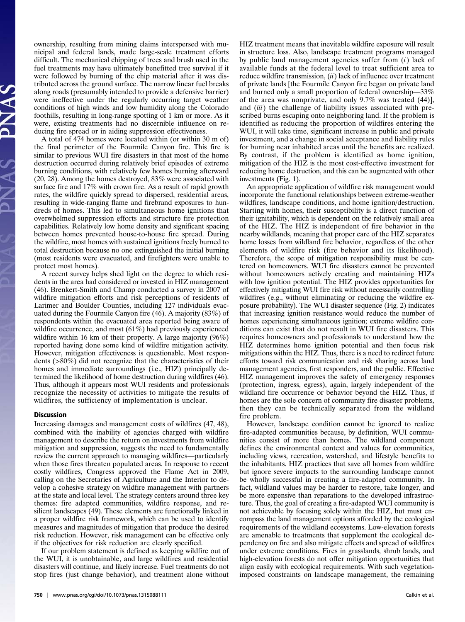ownership, resulting from mining claims interspersed with municipal and federal lands, made large-scale treatment efforts difficult. The mechanical chipping of trees and brush used in the fuel treatments may have ultimately benefitted tree survival if it were followed by burning of the chip material after it was distributed across the ground surface. The narrow linear fuel breaks along roads (presumably intended to provide a defensive barrier) were ineffective under the regularly occurring target weather conditions of high winds and low humidity along the Colorado foothills, resulting in long-range spotting of 1 km or more. As it were, existing treatments had no discernible influence on reducing fire spread or in aiding suppression effectiveness.

A total of 474 homes were located within (or within 30 m of) the final perimeter of the Fourmile Canyon fire. This fire is similar to previous WUI fire disasters in that most of the home destruction occurred during relatively brief episodes of extreme burning conditions, with relatively few homes burning afterward (20, 28). Among the homes destroyed, 83% were associated with surface fire and 17% with crown fire. As a result of rapid growth rates, the wildfire quickly spread to dispersed, residential areas, resulting in wide-ranging flame and firebrand exposures to hundreds of homes. This led to simultaneous home ignitions that overwhelmed suppression efforts and structure fire protection capabilities. Relatively low home density and significant spacing between homes prevented house-to-house fire spread. During the wildfire, most homes with sustained ignitions freely burned to total destruction because no one extinguished the initial burning (most residents were evacuated, and firefighters were unable to protect most homes).

A recent survey helps shed light on the degree to which residents in the area had considered or invested in HIZ management (46). Brenkert-Smith and Champ conducted a survey in 2007 of wildfire mitigation efforts and risk perceptions of residents of Larimer and Boulder Counties, including 127 individuals evacuated during the Fourmile Canyon fire (46). A majority (83%) of respondents within the evacuated area reported being aware of wildfire occurrence, and most (61%) had previously experienced wildfire within 16 km of their property. A large majority (96%) reported having done some kind of wildfire mitigation activity. However, mitigation effectiveness is questionable. Most respondents (>80%) did not recognize that the characteristics of their homes and immediate surroundings (i.e., HIZ) principally determined the likelihood of home destruction during wildfires (46). Thus, although it appears most WUI residents and professionals recognize the necessity of activities to mitigate the results of wildfires, the sufficiency of implementation is unclear.

### Discussion

Increasing damages and management costs of wildfires (47, 48), combined with the inability of agencies charged with wildfire management to describe the return on investments from wildfire mitigation and suppression, suggests the need to fundamentally review the current approach to managing wildfires—particularly when those fires threaten populated areas. In response to recent costly wildfires, Congress approved the Flame Act in 2009, calling on the Secretaries of Agriculture and the Interior to develop a cohesive strategy on wildfire management with partners at the state and local level. The strategy centers around three key themes: fire adapted communities, wildfire response, and resilient landscapes (49). These elements are functionally linked in a proper wildfire risk framework, which can be used to identify measures and magnitudes of mitigation that produce the desired risk reduction. However, risk management can be effective only if the objectives for risk reduction are clearly specified.

If our problem statement is defined as keeping wildfire out of the WUI, it is unobtainable, and large wildfires and residential disasters will continue, and likely increase. Fuel treatments do not stop fires (just change behavior), and treatment alone without

HIZ treatment means that inevitable wildfire exposure will result in structure loss. Also, landscape treatment programs managed by public land management agencies suffer from (i) lack of available funds at the federal level to treat sufficient area to reduce wildfire transmission,  $(ii)$  lack of influence over treatment of private lands [the Fourmile Canyon fire began on private land and burned only a small proportion of federal ownership—33% of the area was nonprivate, and only 9.7% was treated (44)], and *(iii)* the challenge of liability issues associated with prescribed burns escaping onto neighboring land. If the problem is identified as reducing the proportion of wildfires entering the WUI, it will take time, significant increase in public and private investment, and a change in social acceptance and liability rules for burning near inhabited areas until the benefits are realized. By contrast, if the problem is identified as home ignition, mitigation of the HIZ is the most cost-effective investment for reducing home destruction, and this can be augmented with other investments (Fig. 1).

An appropriate application of wildfire risk management would incorporate the functional relationships between extreme-weather wildfires, landscape conditions, and home ignition/destruction. Starting with homes, their susceptibility is a direct function of their ignitability, which is dependent on the relatively small area of the HIZ. The HIZ is independent of fire behavior in the nearby wildlands, meaning that proper care of the HIZ separates home losses from wildland fire behavior, regardless of the other elements of wildfire risk (fire behavior and its likelihood). Therefore, the scope of mitigation responsibility must be centered on homeowners. WUI fire disasters cannot be prevented without homeowners actively creating and maintaining HIZs with low ignition potential. The HIZ provides opportunities for effectively mitigating WUI fire risk without necessarily controlling wildfires (e.g., without eliminating or reducing the wildfire exposure probability). The WUI disaster sequence (Fig. 2) indicates that increasing ignition resistance would reduce the number of homes experiencing simultaneous ignition; extreme wildfire conditions can exist that do not result in WUI fire disasters. This requires homeowners and professionals to understand how the HIZ determines home ignition potential and then focus risk mitigations within the HIZ. Thus, there is a need to redirect future efforts toward risk communication and risk sharing across land management agencies, first responders, and the public. Effective HIZ management improves the safety of emergency responses (protection, ingress, egress), again, largely independent of the wildland fire occurrence or behavior beyond the HIZ. Thus, if homes are the sole concern of community fire disaster problems, then they can be technically separated from the wildland fire problem.

However, landscape condition cannot be ignored to realize fire-adapted communities because, by definition, WUI communities consist of more than homes. The wildland component defines the environmental context and values for communities, including views, recreation, watershed, and lifestyle benefits to the inhabitants. HIZ practices that save all homes from wildfire but ignore severe impacts to the surrounding landscape cannot be wholly successful in creating a fire-adapted community. In fact, wildland values may be harder to restore, take longer, and be more expensive than reparations to the developed infrastructure. Thus, the goal of creating a fire-adapted WUI community is not achievable by focusing solely within the HIZ, but must encompass the land management options afforded by the ecological requirements of the wildland ecosystems. Low-elevation forests are amenable to treatments that supplement the ecological dependency on fire and also mitigate effects and spread of wildfires under extreme conditions. Fires in grasslands, shrub lands, and high-elevation forests do not offer mitigation opportunities that align easily with ecological requirements. With such vegetationimposed constraints on landscape management, the remaining